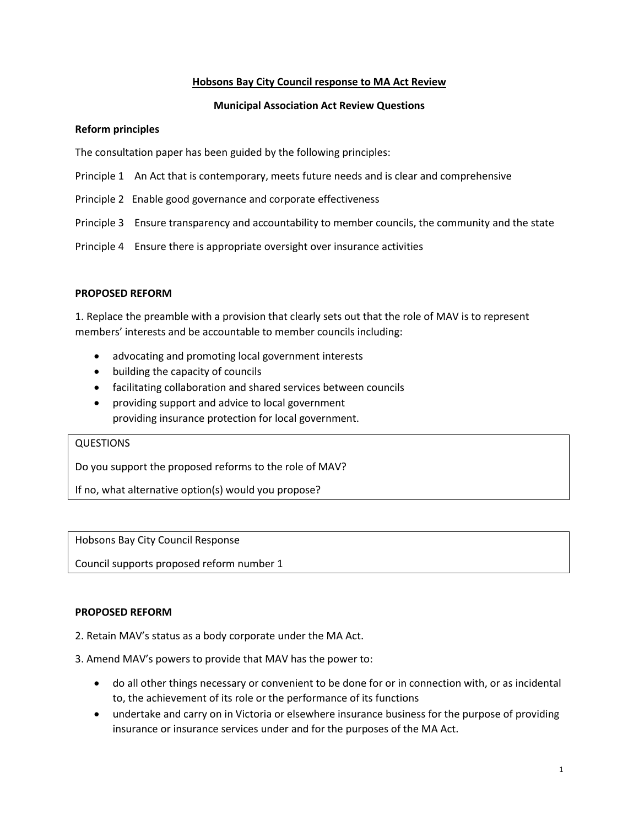### **Hobsons Bay City Council response to MA Act Review**

### **Municipal Association Act Review Questions**

#### **Reform principles**

The consultation paper has been guided by the following principles:

- Principle 1 An Act that is contemporary, meets future needs and is clear and comprehensive
- Principle 2 Enable good governance and corporate effectiveness
- Principle 3 Ensure transparency and accountability to member councils, the community and the state
- Principle 4 Ensure there is appropriate oversight over insurance activities

#### **PROPOSED REFORM**

1. Replace the preamble with a provision that clearly sets out that the role of MAV is to represent members' interests and be accountable to member councils including:

- advocating and promoting local government interests
- building the capacity of councils
- facilitating collaboration and shared services between councils
- providing support and advice to local government providing insurance protection for local government.

#### QUESTIONS

Do you support the proposed reforms to the role of MAV?

If no, what alternative option(s) would you propose?

Hobsons Bay City Council Response

Council supports proposed reform number 1

#### **PROPOSED REFORM**

2. Retain MAV's status as a body corporate under the MA Act.

#### 3. Amend MAV's powers to provide that MAV has the power to:

- do all other things necessary or convenient to be done for or in connection with, or as incidental to, the achievement of its role or the performance of its functions
- undertake and carry on in Victoria or elsewhere insurance business for the purpose of providing insurance or insurance services under and for the purposes of the MA Act.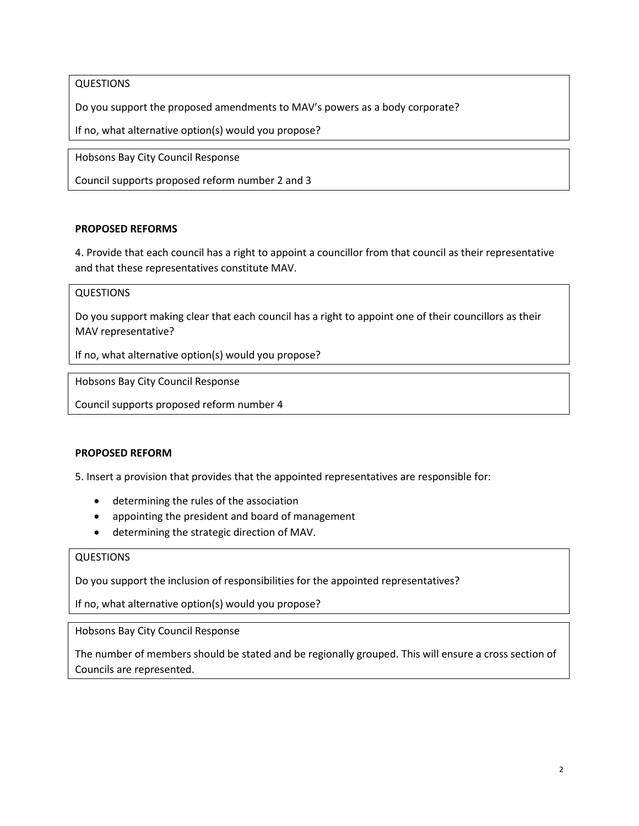# QUESTIONS

Do you support the proposed amendments to MAV's powers as a body corporate?

If no, what alternative option(s) would you propose?

Hobsons Bay City Council Response

Council supports proposed reform number 2 and 3

# **PROPOSED REFORMS**

4. Provide that each council has a right to appoint a councillor from that council as their representative and that these representatives constitute MAV.

# **QUESTIONS**

Do you support making clear that each council has a right to appoint one of their councillors as their MAV representative?

If no, what alternative option(s) would you propose?

Hobsons Bay City Council Response

Council supports proposed reform number 4

### **PROPOSED REFORM**

5. Insert a provision that provides that the appointed representatives are responsible for:

- determining the rules of the association
- appointing the president and board of management
- determining the strategic direction of MAV.

### QUESTIONS

Do you support the inclusion of responsibilities for the appointed representatives?

If no, what alternative option(s) would you propose?

Hobsons Bay City Council Response

The number of members should be stated and be regionally grouped. This will ensure a cross section of Councils are represented.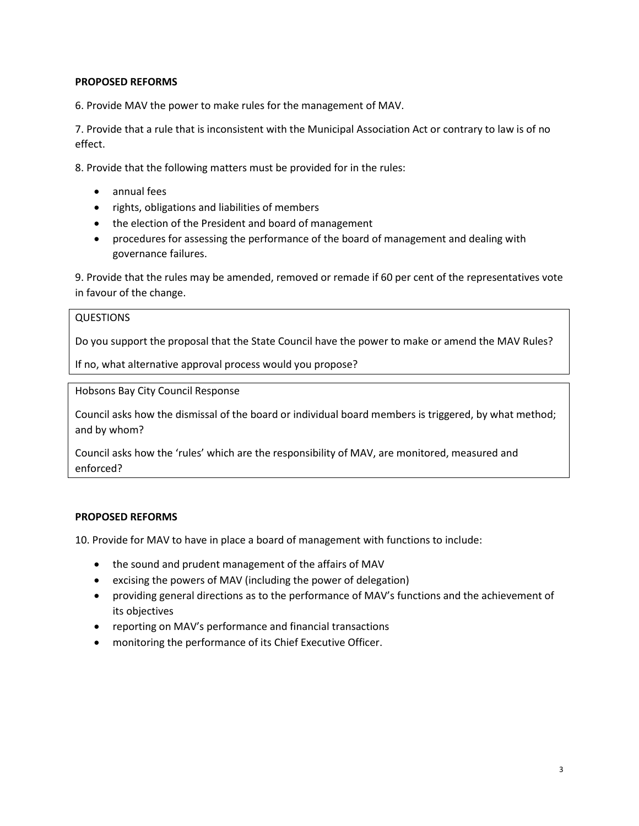# **PROPOSED REFORMS**

6. Provide MAV the power to make rules for the management of MAV.

7. Provide that a rule that is inconsistent with the Municipal Association Act or contrary to law is of no effect.

8. Provide that the following matters must be provided for in the rules:

- annual fees
- rights, obligations and liabilities of members
- the election of the President and board of management
- procedures for assessing the performance of the board of management and dealing with governance failures.

9. Provide that the rules may be amended, removed or remade if 60 per cent of the representatives vote in favour of the change.

### QUESTIONS

Do you support the proposal that the State Council have the power to make or amend the MAV Rules?

If no, what alternative approval process would you propose?

Hobsons Bay City Council Response

Council asks how the dismissal of the board or individual board members is triggered, by what method; and by whom?

Council asks how the 'rules' which are the responsibility of MAV, are monitored, measured and enforced?

### **PROPOSED REFORMS**

10. Provide for MAV to have in place a board of management with functions to include:

- the sound and prudent management of the affairs of MAV
- excising the powers of MAV (including the power of delegation)
- providing general directions as to the performance of MAV's functions and the achievement of its objectives
- reporting on MAV's performance and financial transactions
- monitoring the performance of its Chief Executive Officer.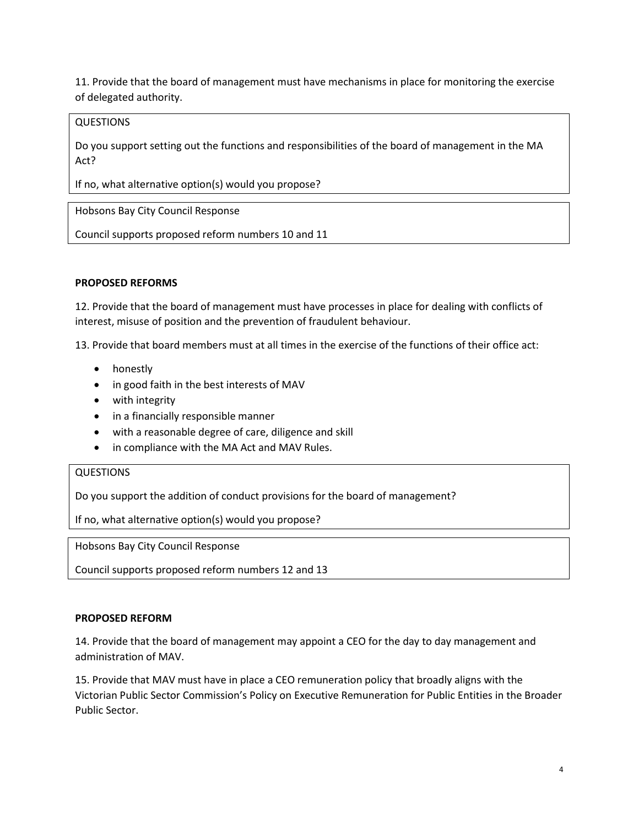11. Provide that the board of management must have mechanisms in place for monitoring the exercise of delegated authority.

### QUESTIONS

Do you support setting out the functions and responsibilities of the board of management in the MA Act?

If no, what alternative option(s) would you propose?

Hobsons Bay City Council Response

Council supports proposed reform numbers 10 and 11

# **PROPOSED REFORMS**

12. Provide that the board of management must have processes in place for dealing with conflicts of interest, misuse of position and the prevention of fraudulent behaviour.

13. Provide that board members must at all times in the exercise of the functions of their office act:

- honestly
- in good faith in the best interests of MAV
- with integrity
- in a financially responsible manner
- with a reasonable degree of care, diligence and skill
- in compliance with the MA Act and MAV Rules.

### QUESTIONS

Do you support the addition of conduct provisions for the board of management?

If no, what alternative option(s) would you propose?

Hobsons Bay City Council Response

Council supports proposed reform numbers 12 and 13

#### **PROPOSED REFORM**

14. Provide that the board of management may appoint a CEO for the day to day management and administration of MAV.

15. Provide that MAV must have in place a CEO remuneration policy that broadly aligns with the Victorian Public Sector Commission's Policy on Executive Remuneration for Public Entities in the Broader Public Sector.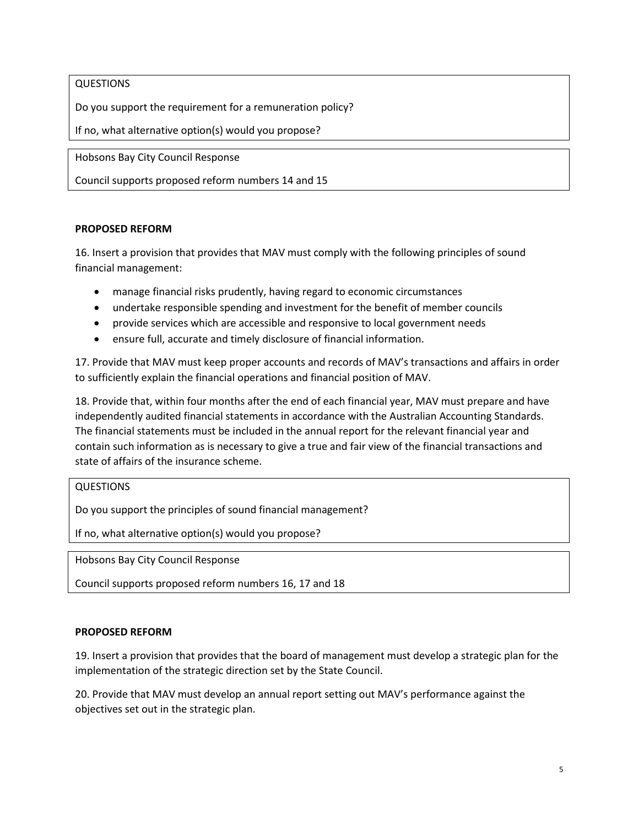# QUESTIONS

Do you support the requirement for a remuneration policy?

If no, what alternative option(s) would you propose?

Hobsons Bay City Council Response

Council supports proposed reform numbers 14 and 15

#### **PROPOSED REFORM**

16. Insert a provision that provides that MAV must comply with the following principles of sound financial management:

- manage financial risks prudently, having regard to economic circumstances
- undertake responsible spending and investment for the benefit of member councils
- provide services which are accessible and responsive to local government needs
- ensure full, accurate and timely disclosure of financial information.

17. Provide that MAV must keep proper accounts and records of MAV's transactions and affairs in order to sufficiently explain the financial operations and financial position of MAV.

18. Provide that, within four months after the end of each financial year, MAV must prepare and have independently audited financial statements in accordance with the Australian Accounting Standards. The financial statements must be included in the annual report for the relevant financial year and contain such information as is necessary to give a true and fair view of the financial transactions and state of affairs of the insurance scheme.

#### QUESTIONS

Do you support the principles of sound financial management?

If no, what alternative option(s) would you propose?

Hobsons Bay City Council Response

Council supports proposed reform numbers 16, 17 and 18

#### **PROPOSED REFORM**

19. Insert a provision that provides that the board of management must develop a strategic plan for the implementation of the strategic direction set by the State Council.

20. Provide that MAV must develop an annual report setting out MAV's performance against the objectives set out in the strategic plan.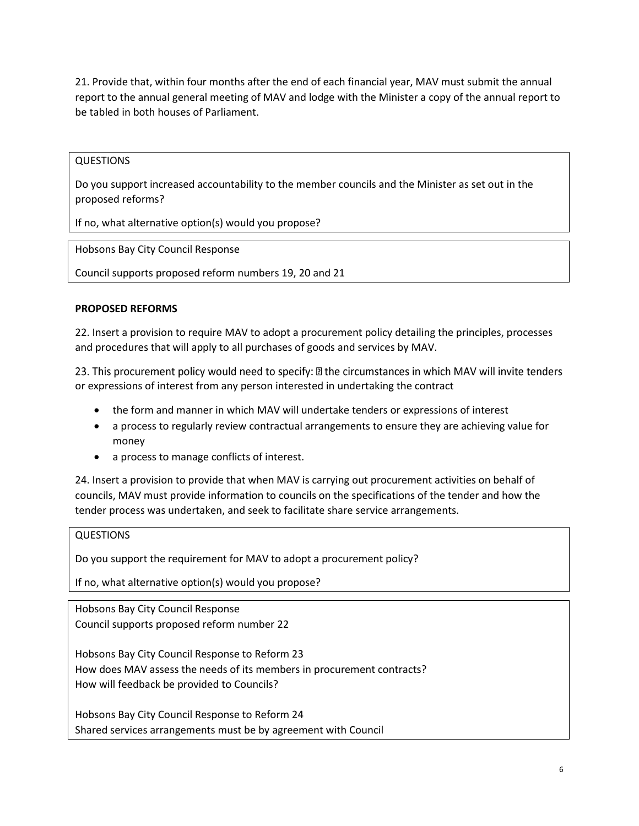21. Provide that, within four months after the end of each financial year, MAV must submit the annual report to the annual general meeting of MAV and lodge with the Minister a copy of the annual report to be tabled in both houses of Parliament.

# **QUESTIONS**

Do you support increased accountability to the member councils and the Minister as set out in the proposed reforms?

If no, what alternative option(s) would you propose?

Hobsons Bay City Council Response

Council supports proposed reform numbers 19, 20 and 21

# **PROPOSED REFORMS**

22. Insert a provision to require MAV to adopt a procurement policy detailing the principles, processes and procedures that will apply to all purchases of goods and services by MAV.

23. This procurement policy would need to specify: **D** the circumstances in which MAV will invite tenders or expressions of interest from any person interested in undertaking the contract

- the form and manner in which MAV will undertake tenders or expressions of interest
- a process to regularly review contractual arrangements to ensure they are achieving value for money
- a process to manage conflicts of interest.

24. Insert a provision to provide that when MAV is carrying out procurement activities on behalf of councils, MAV must provide information to councils on the specifications of the tender and how the tender process was undertaken, and seek to facilitate share service arrangements.

# **QUESTIONS**

Do you support the requirement for MAV to adopt a procurement policy?

If no, what alternative option(s) would you propose?

Hobsons Bay City Council Response Council supports proposed reform number 22

Hobsons Bay City Council Response to Reform 23 How does MAV assess the needs of its members in procurement contracts? How will feedback be provided to Councils?

Hobsons Bay City Council Response to Reform 24 Shared services arrangements must be by agreement with Council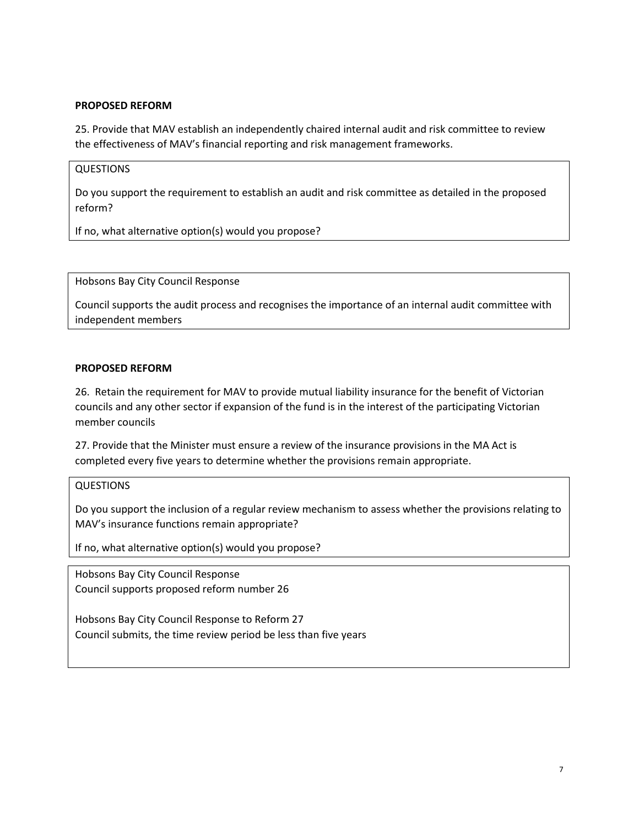### **PROPOSED REFORM**

25. Provide that MAV establish an independently chaired internal audit and risk committee to review the effectiveness of MAV's financial reporting and risk management frameworks.

# QUESTIONS

Do you support the requirement to establish an audit and risk committee as detailed in the proposed reform?

If no, what alternative option(s) would you propose?

Hobsons Bay City Council Response

Council supports the audit process and recognises the importance of an internal audit committee with independent members

### **PROPOSED REFORM**

26. Retain the requirement for MAV to provide mutual liability insurance for the benefit of Victorian councils and any other sector if expansion of the fund is in the interest of the participating Victorian member councils

27. Provide that the Minister must ensure a review of the insurance provisions in the MA Act is completed every five years to determine whether the provisions remain appropriate.

#### QUESTIONS

Do you support the inclusion of a regular review mechanism to assess whether the provisions relating to MAV's insurance functions remain appropriate?

If no, what alternative option(s) would you propose?

Hobsons Bay City Council Response Council supports proposed reform number 26

Hobsons Bay City Council Response to Reform 27 Council submits, the time review period be less than five years